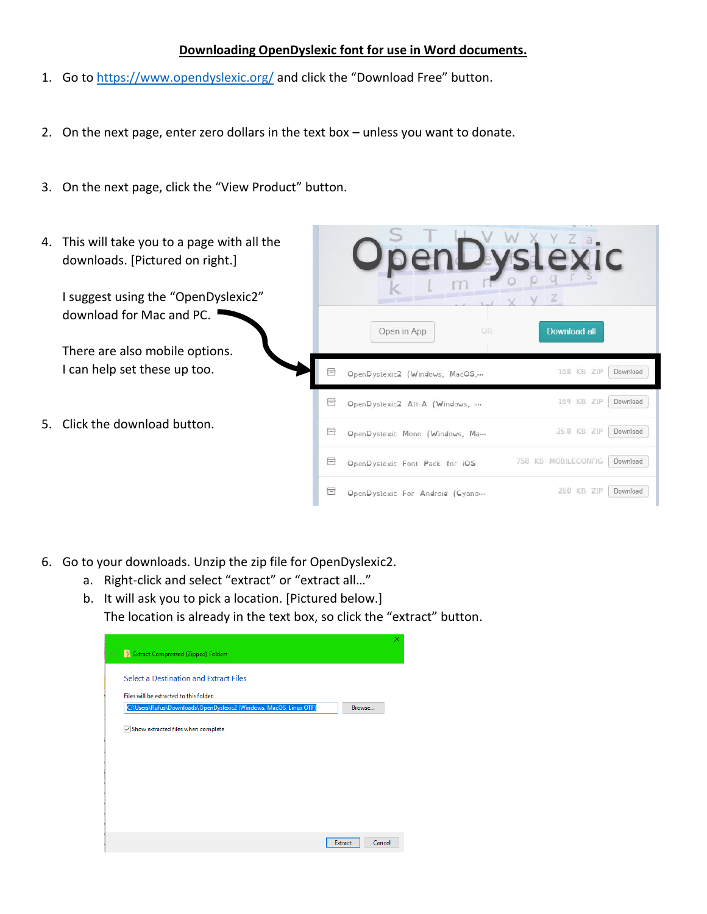## **Downloading OpenDyslexic font for use in Word documents.**

- 1. Go t[o https://www.opendyslexic.org/](https://www.opendyslexic.org/) and click the "Download Free" button.
- 2. On the next page, enter zero dollars in the text box unless you want to donate.
- 3. On the next page, click the "View Product" button.
- 4. This will take you to a page with all the downloads. [Pictured on right.] I suggest using the "OpenDyslexic2" download for Mac and PC. Download all Open in App There are also mobile options. I can help set these up too. 目 168 KB ZIP Download OpenDyslexic2 (Windows, MacOS,... 目 164 KB ZIP Download OpenDyslexic2 Alt-A (Windows, ... 5. Click the download button. 35.8 KB ZIP Download 目 OpenDyslexic Mono (Windows, Ma... 758 KB MOBILECONFIG Download e OpenDyslexic Font Pack for iOS 200 KB ZIP Download 目 OpenDystexic For Android (Cyano...
- 6. Go to your downloads. Unzip the zip file for OpenDyslexic2.
	- a. Right-click and select "extract" or "extract all…"
	- b. It will ask you to pick a location. [Pictured below.] The location is already in the text box, so click the "extract" button.

| <b>Extract Compressed (Zipped) Folders</b><br>$\leftarrow$         |                   | × |
|--------------------------------------------------------------------|-------------------|---|
| Select a Destination and Extract Files                             |                   |   |
| Files will be extracted to this folder:                            |                   |   |
| C:\Users\Rufus\Downloads\OpenDyslexic2 (Windows, MacOS, Linux OTF) | Browse            |   |
| Show extracted files when complete                                 |                   |   |
|                                                                    |                   |   |
|                                                                    |                   |   |
|                                                                    |                   |   |
|                                                                    |                   |   |
|                                                                    |                   |   |
|                                                                    | Cancel<br>Extract |   |